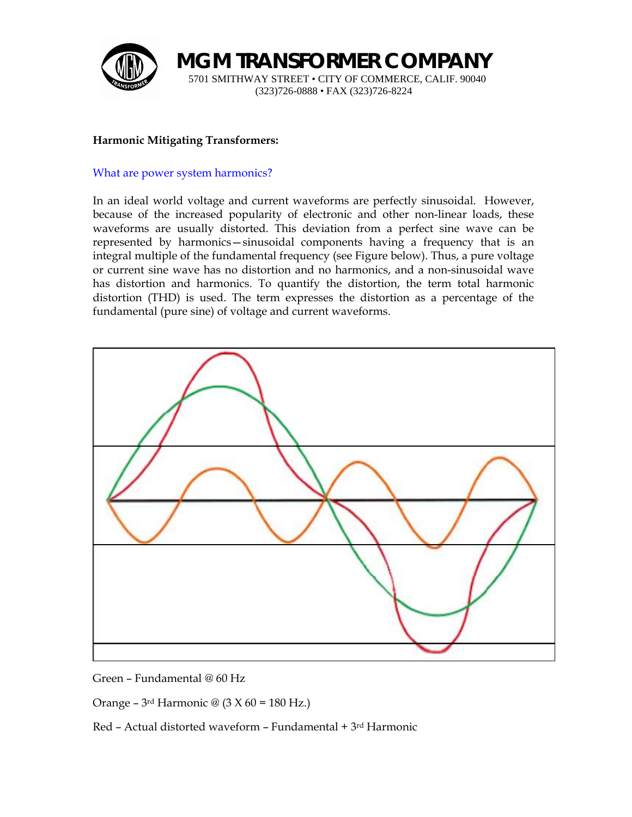

**MGM TRANSFORMER COMPANY** 5701 SMITHWAY STREET • CITY OF COMMERCE, CALIF. 90040 (323)726-0888 • FAX (323)726-8224

## **Harmonic Mitigating Transformers:**

### What are power system harmonics?

In an ideal world voltage and current waveforms are perfectly sinusoidal. However, because of the increased popularity of electronic and other non-linear loads, these waveforms are usually distorted. This deviation from a perfect sine wave can be represented by harmonics—sinusoidal components having a frequency that is an integral multiple of the fundamental frequency (see Figure below). Thus, a pure voltage or current sine wave has no distortion and no harmonics, and a non-sinusoidal wave has distortion and harmonics. To quantify the distortion, the term total harmonic distortion (THD) is used. The term expresses the distortion as a percentage of the fundamental (pure sine) of voltage and current waveforms.



Green – Fundamental @ 60 Hz

Orange – 3<sup>rd</sup> Harmonic @  $(3 X 60 = 180$  Hz.)

Red – Actual distorted waveform – Fundamental + 3rd Harmonic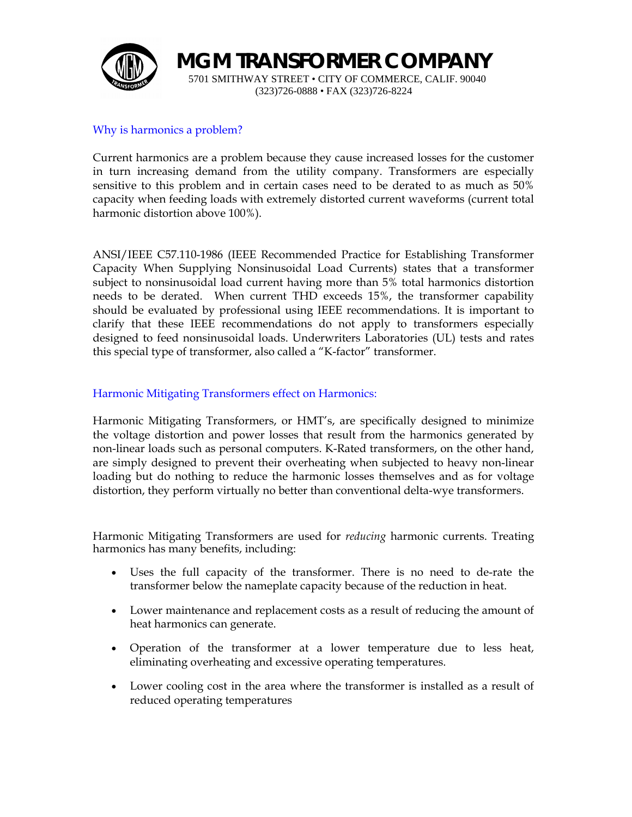

**MGM TRANSFORMER COMPANY**

5701 SMITHWAY STREET • CITY OF COMMERCE, CALIF. 90040 (323)726-0888 • FAX (323)726-8224

## Why is harmonics a problem?

Current harmonics are a problem because they cause increased losses for the customer in turn increasing demand from the utility company. Transformers are especially sensitive to this problem and in certain cases need to be derated to as much as 50% capacity when feeding loads with extremely distorted current waveforms (current total harmonic distortion above 100%).

ANSI/IEEE C57.110-1986 (IEEE Recommended Practice for Establishing Transformer Capacity When Supplying Nonsinusoidal Load Currents) states that a transformer subject to nonsinusoidal load current having more than 5% total harmonics distortion needs to be derated. When current THD exceeds 15%, the transformer capability should be evaluated by professional using IEEE recommendations. It is important to clarify that these IEEE recommendations do not apply to transformers especially designed to feed nonsinusoidal loads. Underwriters Laboratories (UL) tests and rates this special type of transformer, also called a "K-factor" transformer.

#### Harmonic Mitigating Transformers effect on Harmonics:

Harmonic Mitigating Transformers, or HMT's, are specifically designed to minimize the voltage distortion and power losses that result from the harmonics generated by non-linear loads such as personal computers. K-Rated transformers, on the other hand, are simply designed to prevent their overheating when subjected to heavy non-linear loading but do nothing to reduce the harmonic losses themselves and as for voltage distortion, they perform virtually no better than conventional delta-wye transformers.

Harmonic Mitigating Transformers are used for *reducing* harmonic currents. Treating harmonics has many benefits, including:

- Uses the full capacity of the transformer. There is no need to de-rate the transformer below the nameplate capacity because of the reduction in heat.
- Lower maintenance and replacement costs as a result of reducing the amount of heat harmonics can generate.
- Operation of the transformer at a lower temperature due to less heat, eliminating overheating and excessive operating temperatures.
- Lower cooling cost in the area where the transformer is installed as a result of reduced operating temperatures